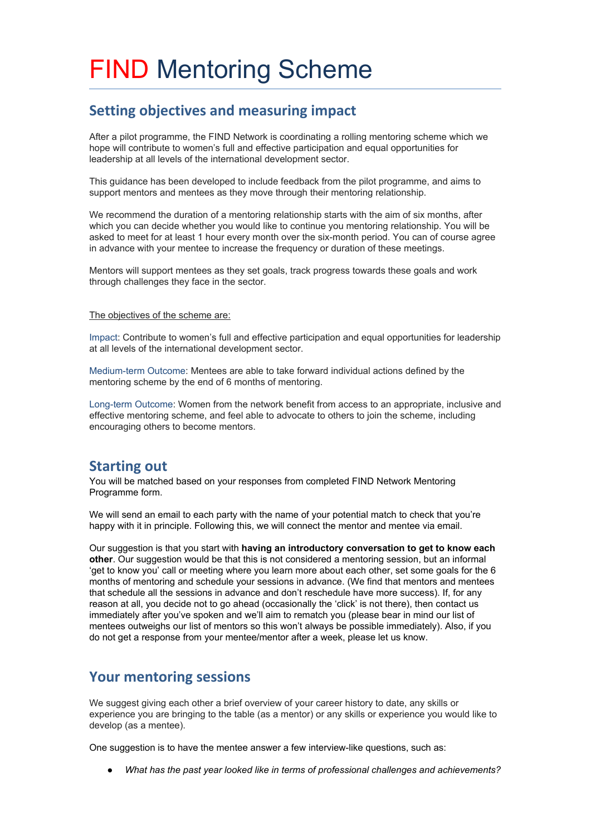# FIND Mentoring Scheme

#### **Setting objectives and measuring impact**

After a pilot programme, the FIND Network is coordinating a rolling mentoring scheme which we hope will contribute to women's full and effective participation and equal opportunities for leadership at all levels of the international development sector.

This guidance has been developed to include feedback from the pilot programme, and aims to support mentors and mentees as they move through their mentoring relationship.

We recommend the duration of a mentoring relationship starts with the aim of six months, after which you can decide whether you would like to continue you mentoring relationship. You will be asked to meet for at least 1 hour every month over the six-month period. You can of course agree in advance with your mentee to increase the frequency or duration of these meetings.

Mentors will support mentees as they set goals, track progress towards these goals and work through challenges they face in the sector.

#### The objectives of the scheme are:

Impact: Contribute to women's full and effective participation and equal opportunities for leadership at all levels of the international development sector.

Medium-term Outcome: Mentees are able to take forward individual actions defined by the mentoring scheme by the end of 6 months of mentoring.

Long-term Outcome: Women from the network benefit from access to an appropriate, inclusive and effective mentoring scheme, and feel able to advocate to others to join the scheme, including encouraging others to become mentors.

#### **Starting out**

You will be matched based on your responses from completed FIND Network Mentoring Programme form.

We will send an email to each party with the name of your potential match to check that you're happy with it in principle. Following this, we will connect the mentor and mentee via email.

Our suggestion is that you start with **having an introductory conversation to get to know each other**. Our suggestion would be that this is not considered a mentoring session, but an informal 'get to know you' call or meeting where you learn more about each other, set some goals for the 6 months of mentoring and schedule your sessions in advance. (We find that mentors and mentees that schedule all the sessions in advance and don't reschedule have more success). If, for any reason at all, you decide not to go ahead (occasionally the 'click' is not there), then contact us immediately after you've spoken and we'll aim to rematch you (please bear in mind our list of mentees outweighs our list of mentors so this won't always be possible immediately). Also, if you do not get a response from your mentee/mentor after a week, please let us know.

#### **Your mentoring sessions**

We suggest giving each other a brief overview of your career history to date, any skills or experience you are bringing to the table (as a mentor) or any skills or experience you would like to develop (as a mentee).

One suggestion is to have the mentee answer a few interview-like questions, such as:

● *What has the past year looked like in terms of professional challenges and achievements?*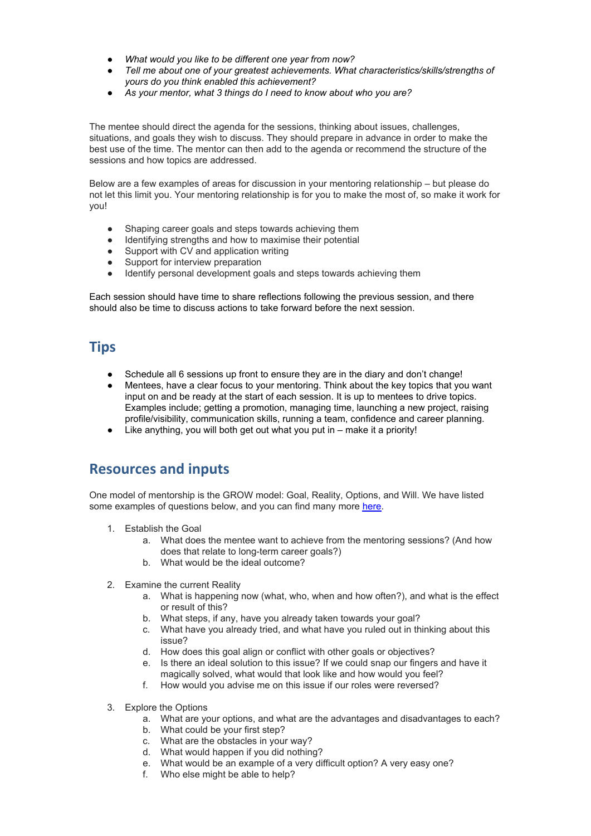- *What would you like to be different one year from now?*
- *Tell me about one of your greatest achievements. What characteristics/skills/strengths of yours do you think enabled this achievement?*
- *As your mentor, what 3 things do I need to know about who you are?*

The mentee should direct the agenda for the sessions, thinking about issues, challenges, situations, and goals they wish to discuss. They should prepare in advance in order to make the best use of the time. The mentor can then add to the agenda or recommend the structure of the sessions and how topics are addressed.

Below are a few examples of areas for discussion in your mentoring relationship – but please do not let this limit you. Your mentoring relationship is for you to make the most of, so make it work for you!

- Shaping career goals and steps towards achieving them
- Identifying strengths and how to maximise their potential<br>• Support with CV and application writing<br>• Support for interview preparation
- Support with CV and application writing
- Support for interview preparation
- Identify personal development goals and steps towards achieving them

Each session should have time to share reflections following the previous session, and there should also be time to discuss actions to take forward before the next session.

#### **Tips**

- Schedule all 6 sessions up front to ensure they are in the diary and don't change!
- Mentees, have a clear focus to your mentoring. Think about the key topics that you want input on and be ready at the start of each session. It is up to mentees to drive topics. Examples include; getting a promotion, managing time, launching a new project, raising profile/visibility, communication skills, running a team, confidence and career planning.
- Like anything, you will both get out what you put in make it a priority!

#### **Resources and inputs**

One model of mentorship is the GROW model: Goal, Reality, Options, and Will. We have listed some examples of questions below, and you can find many more [here.](https://www.thebalance.com/coaching-questions-for-managers-2275913)

- 1. Establish the Goal
	- a. What does the mentee want to achieve from the mentoring sessions? (And how does that relate to long-term career goals?)
	- b. What would be the ideal outcome?
- 2. Examine the current Reality
	- a. What is happening now (what, who, when and how often?), and what is the effect or result of this?
	- b. What steps, if any, have you already taken towards your goal?
	- c. What have you already tried, and what have you ruled out in thinking about this issue?
	- d. How does this goal align or conflict with other goals or objectives?
	- e. Is there an ideal solution to this issue? If we could snap our fingers and have it magically solved, what would that look like and how would you feel?
	- f. How would you advise me on this issue if our roles were reversed?
- 3. Explore the Options
	- a. What are your options, and what are the advantages and disadvantages to each?
	- b. What could be your first step?
	- c. What are the obstacles in your way?
	- d. What would happen if you did nothing?
	- e. What would be an example of a very difficult option? A very easy one?
	- f. Who else might be able to help?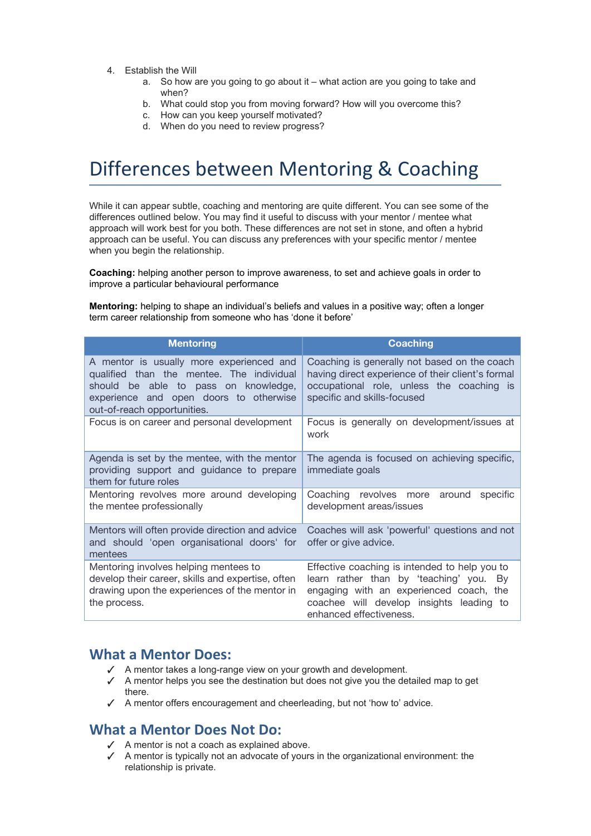- 4. Establish the Will
	- a. So how are you going to go about it what action are you going to take and when?
	- b. What could stop you from moving forward? How will you overcome this?
	- c. How can you keep yourself motivated?
	- d. When do you need to review progress?

## Differences between Mentoring & Coaching

While it can appear subtle, coaching and mentoring are quite different. You can see some of the differences outlined below. You may find it useful to discuss with your mentor / mentee what approach will work best for you both. These differences are not set in stone, and often a hybrid approach can be useful. You can discuss any preferences with your specific mentor / mentee when you begin the relationship.

**Coaching:** helping another person to improve awareness, to set and achieve goals in order to improve a particular behavioural performance

**Mentoring:** helping to shape an individual's beliefs and values in a positive way; often a longer term career relationship from someone who has 'done it before'

| <b>Mentoring</b>                                                                                                                                                                                       | <b>Coaching</b>                                                                                                                                                                                            |
|--------------------------------------------------------------------------------------------------------------------------------------------------------------------------------------------------------|------------------------------------------------------------------------------------------------------------------------------------------------------------------------------------------------------------|
| A mentor is usually more experienced and<br>qualified than the mentee. The individual<br>should be able to pass on knowledge,<br>experience and open doors to otherwise<br>out-of-reach opportunities. | Coaching is generally not based on the coach<br>having direct experience of their client's formal<br>occupational role, unless the coaching is<br>specific and skills-focused                              |
| Focus is on career and personal development                                                                                                                                                            | Focus is generally on development/issues at<br>work                                                                                                                                                        |
| Agenda is set by the mentee, with the mentor<br>providing support and guidance to prepare<br>them for future roles                                                                                     | The agenda is focused on achieving specific,<br>immediate goals                                                                                                                                            |
| Mentoring revolves more around developing<br>the mentee professionally                                                                                                                                 | Coaching revolves more around<br>specific<br>development areas/issues                                                                                                                                      |
| Mentors will often provide direction and advice<br>and should 'open organisational doors' for<br>mentees                                                                                               | Coaches will ask 'powerful' questions and not<br>offer or give advice.                                                                                                                                     |
| Mentoring involves helping mentees to<br>develop their career, skills and expertise, often<br>drawing upon the experiences of the mentor in<br>the process.                                            | Effective coaching is intended to help you to<br>learn rather than by 'teaching' you. By<br>engaging with an experienced coach, the<br>coachee will develop insights leading to<br>enhanced effectiveness. |

#### **What a Mentor Does:**

- ✓ A mentor takes a long-range view on your growth and development.
- ✓ A mentor helps you see the destination but does not give you the detailed map to get there.
- ✓ A mentor offers encouragement and cheerleading, but not 'how to' advice.

#### **What a Mentor Does Not Do:**

- ✓ A mentor is not a coach as explained above.
- ✓ A mentor is typically not an advocate of yours in the organizational environment: the relationship is private.